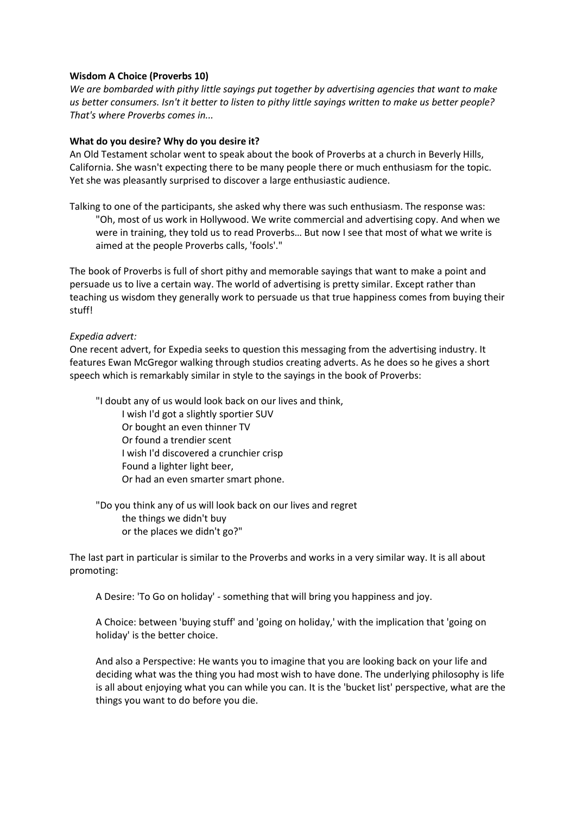# **Wisdom A Choice (Proverbs 10)**

*We are bombarded with pithy little sayings put together by advertising agencies that want to make us better consumers. Isn't it better to listen to pithy little sayings written to make us better people? That's where Proverbs comes in...*

# **What do you desire? Why do you desire it?**

An Old Testament scholar went to speak about the book of Proverbs at a church in Beverly Hills, California. She wasn't expecting there to be many people there or much enthusiasm for the topic. Yet she was pleasantly surprised to discover a large enthusiastic audience.

Talking to one of the participants, she asked why there was such enthusiasm. The response was: "Oh, most of us work in Hollywood. We write commercial and advertising copy. And when we were in training, they told us to read Proverbs... But now I see that most of what we write is aimed at the people Proverbs calls, 'fools'."

The book of Proverbs is full of short pithy and memorable sayings that want to make a point and persuade us to live a certain way. The world of advertising is pretty similar. Except rather than teaching us wisdom they generally work to persuade us that true happiness comes from buying their stuff!

# *Expedia advert:*

One recent advert, for Expedia seeks to question this messaging from the advertising industry. It features Ewan McGregor walking through studios creating adverts. As he does so he gives a short speech which is remarkably similar in style to the sayings in the book of Proverbs:

"I doubt any of us would look back on our lives and think,

I wish I'd got a slightly sportier SUV Or bought an even thinner TV Or found a trendier scent I wish I'd discovered a crunchier crisp Found a lighter light beer, Or had an even smarter smart phone.

"Do you think any of us will look back on our lives and regret the things we didn't buy or the places we didn't go?"

The last part in particular is similar to the Proverbs and works in a very similar way. It is all about promoting:

A Desire: 'To Go on holiday' - something that will bring you happiness and joy.

A Choice: between 'buying stuff' and 'going on holiday,' with the implication that 'going on holiday' is the better choice.

And also a Perspective: He wants you to imagine that you are looking back on your life and deciding what was the thing you had most wish to have done. The underlying philosophy is life is all about enjoying what you can while you can. It is the 'bucket list' perspective, what are the things you want to do before you die.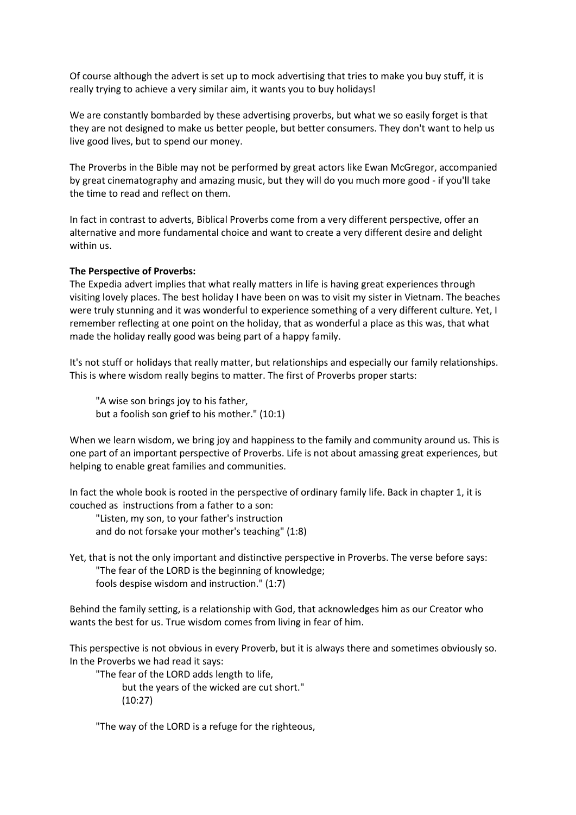Of course although the advert is set up to mock advertising that tries to make you buy stuff, it is really trying to achieve a very similar aim, it wants you to buy holidays!

We are constantly bombarded by these advertising proverbs, but what we so easily forget is that they are not designed to make us better people, but better consumers. They don't want to help us live good lives, but to spend our money.

The Proverbs in the Bible may not be performed by great actors like Ewan McGregor, accompanied by great cinematography and amazing music, but they will do you much more good - if you'll take the time to read and reflect on them.

In fact in contrast to adverts, Biblical Proverbs come from a very different perspective, offer an alternative and more fundamental choice and want to create a very different desire and delight within us.

### **The Perspective of Proverbs:**

The Expedia advert implies that what really matters in life is having great experiences through visiting lovely places. The best holiday I have been on was to visit my sister in Vietnam. The beaches were truly stunning and it was wonderful to experience something of a very different culture. Yet, I remember reflecting at one point on the holiday, that as wonderful a place as this was, that what made the holiday really good was being part of a happy family.

It's not stuff or holidays that really matter, but relationships and especially our family relationships. This is where wisdom really begins to matter. The first of Proverbs proper starts:

"A wise son brings joy to his father, but a foolish son grief to his mother." (10:1)

When we learn wisdom, we bring joy and happiness to the family and community around us. This is one part of an important perspective of Proverbs. Life is not about amassing great experiences, but helping to enable great families and communities.

In fact the whole book is rooted in the perspective of ordinary family life. Back in chapter 1, it is couched as instructions from a father to a son:

"Listen, my son, to your father's instruction and do not forsake your mother's teaching" (1:8)

Yet, that is not the only important and distinctive perspective in Proverbs. The verse before says: "The fear of the LORD is the beginning of knowledge;

fools despise wisdom and instruction." (1:7)

Behind the family setting, is a relationship with God, that acknowledges him as our Creator who wants the best for us. True wisdom comes from living in fear of him.

This perspective is not obvious in every Proverb, but it is always there and sometimes obviously so. In the Proverbs we had read it says:

"The fear of the LORD adds length to life, but the years of the wicked are cut short." (10:27)

"The way of the LORD is a refuge for the righteous,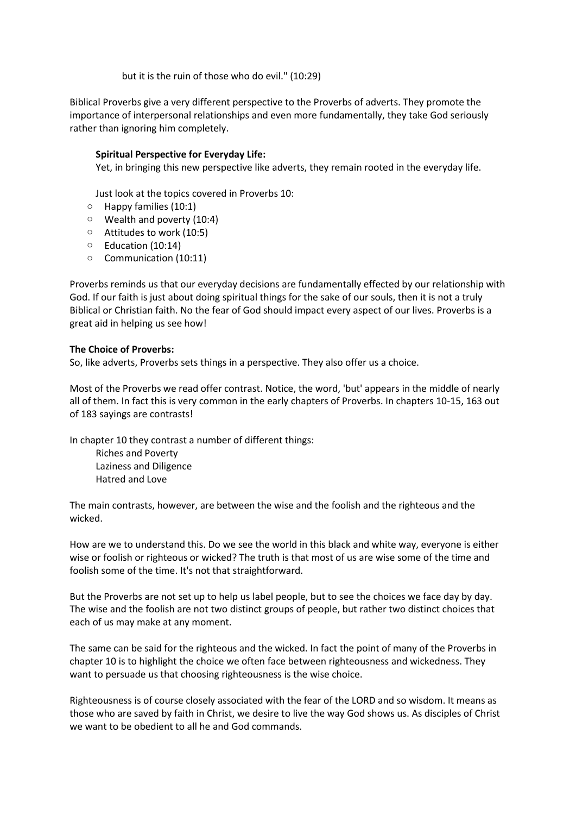but it is the ruin of those who do evil." (10:29)

Biblical Proverbs give a very different perspective to the Proverbs of adverts. They promote the importance of interpersonal relationships and even more fundamentally, they take God seriously rather than ignoring him completely.

# **Spiritual Perspective for Everyday Life:**

Yet, in bringing this new perspective like adverts, they remain rooted in the everyday life.

Just look at the topics covered in Proverbs 10:

- o Happy families (10:1)
- o Wealth and poverty (10:4)
- o Attitudes to work (10:5)
- o Education (10:14)
- o Communication (10:11)

Proverbs reminds us that our everyday decisions are fundamentally effected by our relationship with God. If our faith is just about doing spiritual things for the sake of our souls, then it is not a truly Biblical or Christian faith. No the fear of God should impact every aspect of our lives. Proverbs is a great aid in helping us see how!

# **The Choice of Proverbs:**

So, like adverts, Proverbs sets things in a perspective. They also offer us a choice.

Most of the Proverbs we read offer contrast. Notice, the word, 'but' appears in the middle of nearly all of them. In fact this is very common in the early chapters of Proverbs. In chapters 10-15, 163 out of 183 sayings are contrasts!

In chapter 10 they contrast a number of different things: Riches and Poverty Laziness and Diligence Hatred and Love

The main contrasts, however, are between the wise and the foolish and the righteous and the wicked.

How are we to understand this. Do we see the world in this black and white way, everyone is either wise or foolish or righteous or wicked? The truth is that most of us are wise some of the time and foolish some of the time. It's not that straightforward.

But the Proverbs are not set up to help us label people, but to see the choices we face day by day. The wise and the foolish are not two distinct groups of people, but rather two distinct choices that each of us may make at any moment.

The same can be said for the righteous and the wicked. In fact the point of many of the Proverbs in chapter 10 is to highlight the choice we often face between righteousness and wickedness. They want to persuade us that choosing righteousness is the wise choice.

Righteousness is of course closely associated with the fear of the LORD and so wisdom. It means as those who are saved by faith in Christ, we desire to live the way God shows us. As disciples of Christ we want to be obedient to all he and God commands.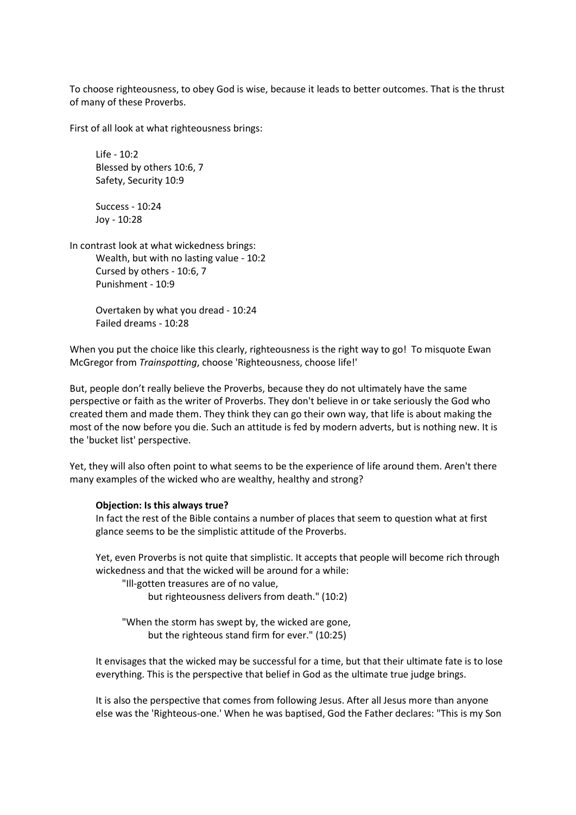To choose righteousness, to obey God is wise, because it leads to better outcomes. That is the thrust of many of these Proverbs.

First of all look at what righteousness brings:

Life - 10:2 Blessed by others 10:6, 7 Safety, Security 10:9

Success - 10:24 Joy - 10:28

In contrast look at what wickedness brings: Wealth, but with no lasting value - 10:2 Cursed by others - 10:6, 7 Punishment - 10:9

> Overtaken by what you dread - 10:24 Failed dreams - 10:28

When you put the choice like this clearly, righteousness is the right way to go! To misquote Ewan McGregor from *Trainspotting*, choose 'Righteousness, choose life!'

But, people don't really believe the Proverbs, because they do not ultimately have the same perspective or faith as the writer of Proverbs. They don't believe in or take seriously the God who created them and made them. They think they can go their own way, that life is about making the most of the now before you die. Such an attitude is fed by modern adverts, but is nothing new. It is the 'bucket list' perspective.

Yet, they will also often point to what seems to be the experience of life around them. Aren't there many examples of the wicked who are wealthy, healthy and strong?

#### **Objection: Is this always true?**

In fact the rest of the Bible contains a number of places that seem to question what at first glance seems to be the simplistic attitude of the Proverbs.

Yet, even Proverbs is not quite that simplistic. It accepts that people will become rich through wickedness and that the wicked will be around for a while:

"Ill-gotten treasures are of no value,

but righteousness delivers from death." (10:2)

"When the storm has swept by, the wicked are gone, but the righteous stand firm for ever." (10:25)

It envisages that the wicked may be successful for a time, but that their ultimate fate is to lose everything. This is the perspective that belief in God as the ultimate true judge brings.

It is also the perspective that comes from following Jesus. After all Jesus more than anyone else was the 'Righteous-one.' When he was baptised, God the Father declares: "This is my Son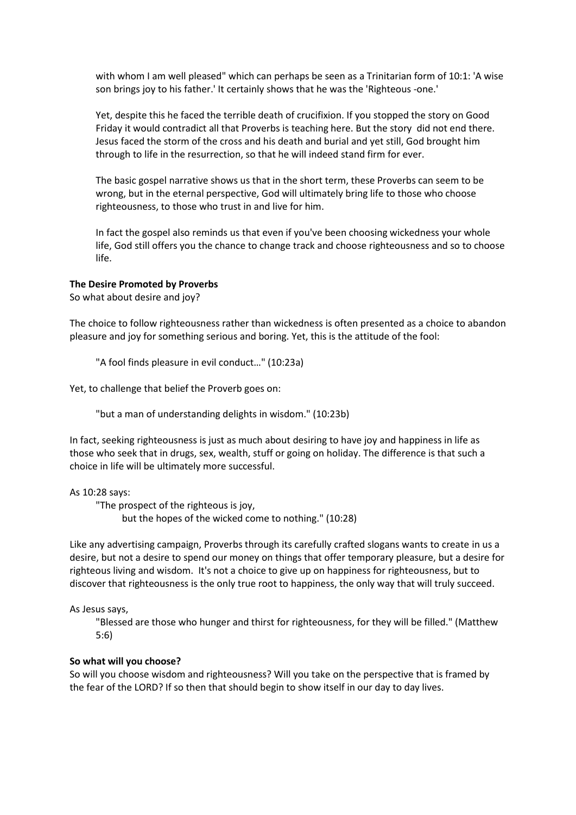with whom I am well pleased" which can perhaps be seen as a Trinitarian form of 10:1: 'A wise son brings joy to his father.' It certainly shows that he was the 'Righteous -one.'

Yet, despite this he faced the terrible death of crucifixion. If you stopped the story on Good Friday it would contradict all that Proverbs is teaching here. But the story did not end there. Jesus faced the storm of the cross and his death and burial and yet still, God brought him through to life in the resurrection, so that he will indeed stand firm for ever.

The basic gospel narrative shows us that in the short term, these Proverbs can seem to be wrong, but in the eternal perspective, God will ultimately bring life to those who choose righteousness, to those who trust in and live for him.

In fact the gospel also reminds us that even if you've been choosing wickedness your whole life, God still offers you the chance to change track and choose righteousness and so to choose life.

### **The Desire Promoted by Proverbs**

So what about desire and joy?

The choice to follow righteousness rather than wickedness is often presented as a choice to abandon pleasure and joy for something serious and boring. Yet, this is the attitude of the fool:

"A fool finds pleasure in evil conduct…" (10:23a)

Yet, to challenge that belief the Proverb goes on:

"but a man of understanding delights in wisdom." (10:23b)

In fact, seeking righteousness is just as much about desiring to have joy and happiness in life as those who seek that in drugs, sex, wealth, stuff or going on holiday. The difference is that such a choice in life will be ultimately more successful.

## As 10:28 says:

"The prospect of the righteous is joy, but the hopes of the wicked come to nothing." (10:28)

Like any advertising campaign, Proverbs through its carefully crafted slogans wants to create in us a desire, but not a desire to spend our money on things that offer temporary pleasure, but a desire for righteous living and wisdom. It's not a choice to give up on happiness for righteousness, but to discover that righteousness is the only true root to happiness, the only way that will truly succeed.

#### As Jesus says,

"Blessed are those who hunger and thirst for righteousness, for they will be filled." (Matthew 5:6)

## **So what will you choose?**

So will you choose wisdom and righteousness? Will you take on the perspective that is framed by the fear of the LORD? If so then that should begin to show itself in our day to day lives.